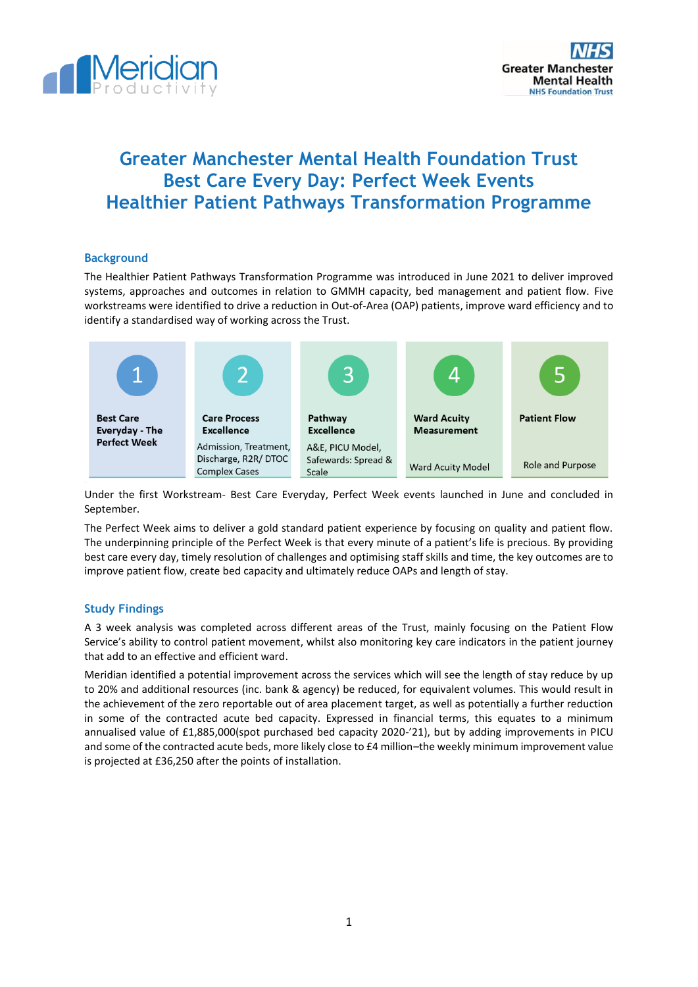



# **Greater Manchester Mental Health Foundation Trust Best Care Every Day: Perfect Week Events Healthier Patient Pathways Transformation Programme**

# **Background**

The Healthier Patient Pathways Transformation Programme was introduced in June 2021 to deliver improved systems, approaches and outcomes in relation to GMMH capacity, bed management and patient flow. Five workstreams were identified to drive a reduction in Out-of-Area (OAP) patients, improve ward efficiency and to identify a standardised way of working across the Trust.



Under the first Workstream- Best Care Everyday, Perfect Week events launched in June and concluded in September.

The Perfect Week aims to deliver a gold standard patient experience by focusing on quality and patient flow. The underpinning principle of the Perfect Week is that every minute of a patient's life is precious. By providing best care every day, timely resolution of challenges and optimising staff skills and time, the key outcomes are to improve patient flow, create bed capacity and ultimately reduce OAPs and length of stay.

## **Study Findings**

A 3 week analysis was completed across different areas of the Trust, mainly focusing on the Patient Flow Service's ability to control patient movement, whilst also monitoring key care indicators in the patient journey that add to an effective and efficient ward.

Meridian identified a potential improvement across the services which will see the length of stay reduce by up to 20% and additional resources (inc. bank & agency) be reduced, for equivalent volumes. This would result in the achievement of the zero reportable out of area placement target, as well as potentially a further reduction in some of the contracted acute bed capacity. Expressed in financial terms, this equates to a minimum annualised value of £1,885,000(spot purchased bed capacity 2020-'21), but by adding improvements in PICU and some of the contracted acute beds, more likely close to £4 million-the weekly minimum improvement value is projected at £36,250 after the points of installation.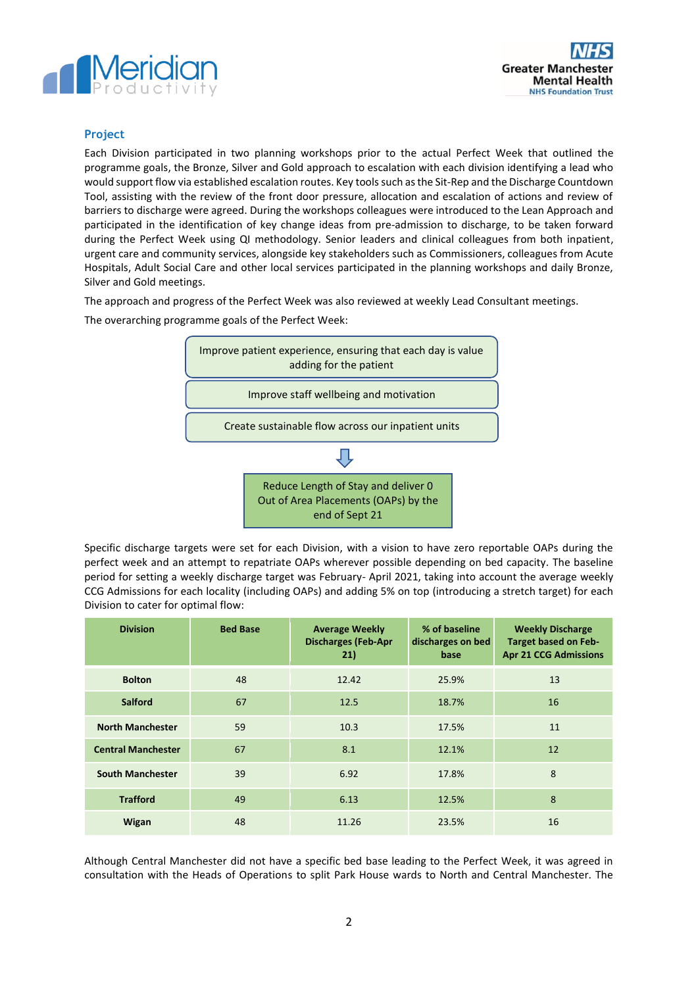



# **Project**

Each Division participated in two planning workshops prior to the actual Perfect Week that outlined the programme goals, the Bronze, Silver and Gold approach to escalation with each division identifying a lead who would support flow via established escalation routes. Key tools such as the Sit-Rep and the Discharge Countdown Tool, assisting with the review of the front door pressure, allocation and escalation of actions and review of barriers to discharge were agreed. During the workshops colleagues were introduced to the Lean Approach and participated in the identification of key change ideas from pre-admission to discharge, to be taken forward during the Perfect Week using QI methodology. Senior leaders and clinical colleagues from both inpatient, urgent care and community services, alongside key stakeholders such as Commissioners, colleagues from Acute Hospitals, Adult Social Care and other local services participated in the planning workshops and daily Bronze, Silver and Gold meetings.

The approach and progress of the Perfect Week was also reviewed at weekly Lead Consultant meetings.

The overarching programme goals of the Perfect Week:



Specific discharge targets were set for each Division, with a vision to have zero reportable OAPs during the perfect week and an attempt to repatriate OAPs wherever possible depending on bed capacity. The baseline period for setting a weekly discharge target was February- April 2021, taking into account the average weekly CCG Admissions for each locality (including OAPs) and adding 5% on top (introducing a stretch target) for each Division to cater for optimal flow:

| <b>Division</b>           | <b>Bed Base</b> | <b>Average Weekly</b><br><b>Discharges (Feb-Apr</b><br>21) | % of baseline<br>discharges on bed<br>base | <b>Weekly Discharge</b><br><b>Target based on Feb-</b><br><b>Apr 21 CCG Admissions</b> |
|---------------------------|-----------------|------------------------------------------------------------|--------------------------------------------|----------------------------------------------------------------------------------------|
| <b>Bolton</b>             | 48              | 12.42                                                      | 25.9%                                      | 13                                                                                     |
| <b>Salford</b>            | 67              | 12.5                                                       | 18.7%                                      | 16                                                                                     |
| <b>North Manchester</b>   | 59              | 10.3                                                       | 17.5%                                      | 11                                                                                     |
| <b>Central Manchester</b> | 67              | 8.1                                                        | 12.1%                                      | 12                                                                                     |
| <b>South Manchester</b>   | 39              | 6.92                                                       | 17.8%                                      | 8                                                                                      |
| <b>Trafford</b>           | 49              | 6.13                                                       | 12.5%                                      | 8                                                                                      |
| Wigan                     | 48              | 11.26                                                      | 23.5%                                      | 16                                                                                     |

Although Central Manchester did not have a specific bed base leading to the Perfect Week, it was agreed in consultation with the Heads of Operations to split Park House wards to North and Central Manchester. The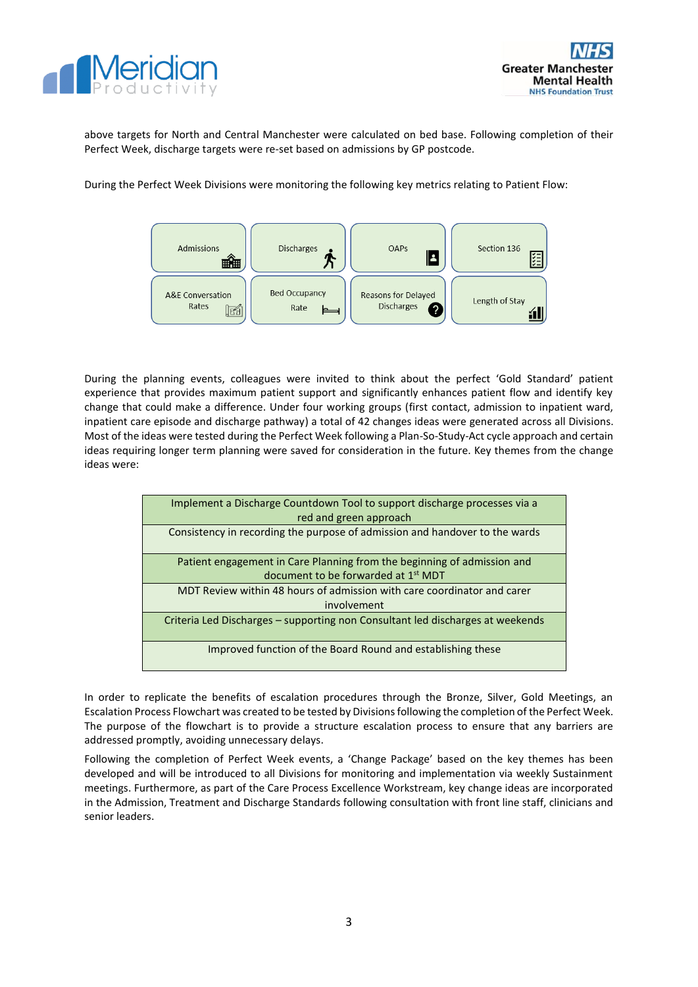



above targets for North and Central Manchester were calculated on bed base. Following completion of their Perfect Week, discharge targets were re-set based on admissions by GP postcode.

During the Perfect Week Divisions were monitoring the following key metrics relating to Patient Flow:



During the planning events, colleagues were invited to think about the perfect 'Gold Standard' patient experience that provides maximum patient support and significantly enhances patient flow and identify key change that could make a difference. Under four working groups (first contact, admission to inpatient ward, inpatient care episode and discharge pathway) a total of 42 changes ideas were generated across all Divisions. Most of the ideas were tested during the Perfect Week following a Plan-So-Study-Act cycle approach and certain ideas requiring longer term planning were saved for consideration in the future. Key themes from the change ideas were:

| Implement a Discharge Countdown Tool to support discharge processes via a<br>red and green approach |
|-----------------------------------------------------------------------------------------------------|
| Consistency in recording the purpose of admission and handover to the wards                         |
| Patient engagement in Care Planning from the beginning of admission and                             |
|                                                                                                     |
| document to be forwarded at 1 <sup>st</sup> MDT                                                     |
| MDT Review within 48 hours of admission with care coordinator and carer                             |
| involvement                                                                                         |
|                                                                                                     |
| Criteria Led Discharges - supporting non Consultant led discharges at weekends                      |
| Improved function of the Board Round and establishing these                                         |

In order to replicate the benefits of escalation procedures through the Bronze, Silver, Gold Meetings, an Escalation Process Flowchart was created to be tested by Divisions following the completion of the Perfect Week. The purpose of the flowchart is to provide a structure escalation process to ensure that any barriers are addressed promptly, avoiding unnecessary delays.

Following the completion of Perfect Week events, a 'Change Package' based on the key themes has been developed and will be introduced to all Divisions for monitoring and implementation via weekly Sustainment meetings. Furthermore, as part of the Care Process Excellence Workstream, key change ideas are incorporated in the Admission, Treatment and Discharge Standards following consultation with front line staff, clinicians and senior leaders.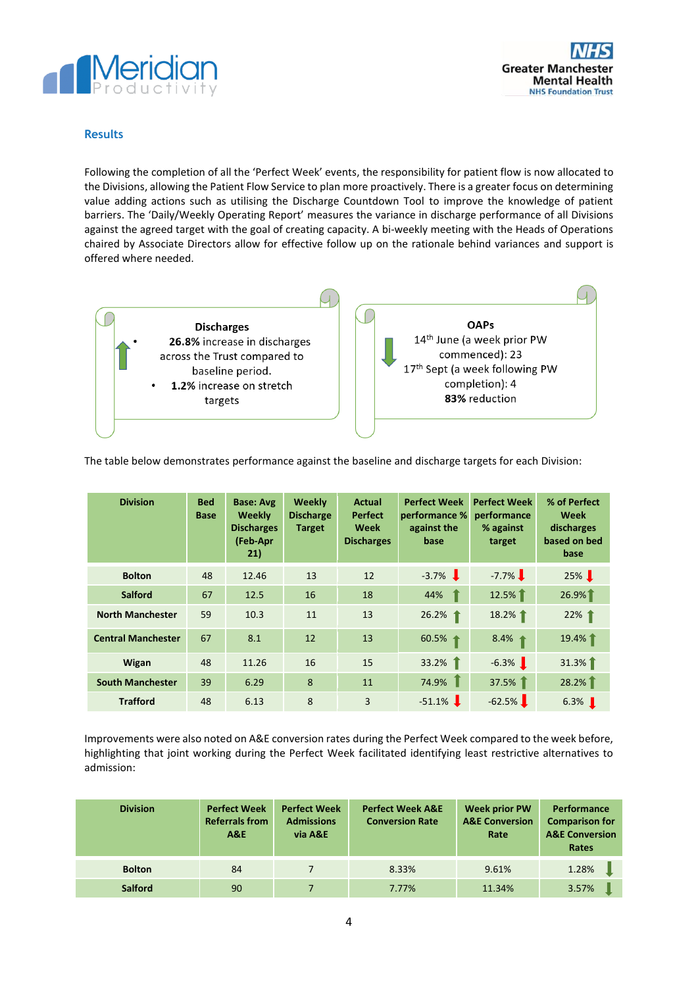



## **Results**

Following the completion of all the 'Perfect Week' events, the responsibility for patient flow is now allocated to the Divisions, allowing the Patient Flow Service to plan more proactively. There is a greater focus on determining value adding actions such as utilising the Discharge Countdown Tool to improve the knowledge of patient barriers. The 'Daily/Weekly Operating Report' measures the variance in discharge performance of all Divisions against the agreed target with the goal of creating capacity. A bi-weekly meeting with the Heads of Operations chaired by Associate Directors allow for effective follow up on the rationale behind variances and support is offered where needed.



The table below demonstrates performance against the baseline and discharge targets for each Division:

| <b>Division</b>           | <b>Bed</b><br><b>Base</b> | <b>Base: Avg</b><br>Weekly<br><b>Discharges</b><br>(Feb-Apr<br>21) | <b>Weekly</b><br><b>Discharge</b><br><b>Target</b> | Actual<br><b>Perfect</b><br>Week<br><b>Discharges</b> | <b>Perfect Week</b><br>performance %<br>against the<br>base | <b>Perfect Week</b><br>performance<br>% against<br>target | % of Perfect<br>Week<br>discharges<br>based on bed<br>base |
|---------------------------|---------------------------|--------------------------------------------------------------------|----------------------------------------------------|-------------------------------------------------------|-------------------------------------------------------------|-----------------------------------------------------------|------------------------------------------------------------|
| <b>Bolton</b>             | 48                        | 12.46                                                              | 13                                                 | 12                                                    | $-3.7\%$                                                    | $-7.7\%$                                                  | 25% 】                                                      |
| <b>Salford</b>            | 67                        | 12.5                                                               | 16                                                 | 18                                                    | 44%                                                         | 12.5%                                                     | 26.9%                                                      |
| <b>North Manchester</b>   | 59                        | 10.3                                                               | 11                                                 | 13                                                    | 26.2%                                                       | 18.2%                                                     | 22% 1                                                      |
| <b>Central Manchester</b> | 67                        | 8.1                                                                | 12                                                 | 13                                                    | 60.5%                                                       | 8.4% $\dagger$                                            | 19.4%                                                      |
| Wigan                     | 48                        | 11.26                                                              | 16                                                 | 15                                                    | 33.2%                                                       | $-6.3\%$                                                  | 31.3%                                                      |
| <b>South Manchester</b>   | 39                        | 6.29                                                               | 8                                                  | 11                                                    | 74.9%                                                       | 37.5%                                                     | 28.2%                                                      |
| <b>Trafford</b>           | 48                        | 6.13                                                               | 8                                                  | 3                                                     | $-51.1\%$                                                   | $-62.5%$                                                  | $6.3\%$                                                    |

Improvements were also noted on A&E conversion rates during the Perfect Week compared to the week before, highlighting that joint working during the Perfect Week facilitated identifying least restrictive alternatives to admission:

| <b>Division</b> | <b>Perfect Week</b><br><b>Referrals from</b><br>A&E | <b>Perfect Week</b><br><b>Admissions</b><br>via A&E | <b>Perfect Week A&amp;E</b><br><b>Conversion Rate</b> | <b>Week prior PW</b><br><b>A&amp;E Conversion</b><br>Rate | Performance<br><b>Comparison for</b><br><b>A&amp;E Conversion</b><br>Rates |
|-----------------|-----------------------------------------------------|-----------------------------------------------------|-------------------------------------------------------|-----------------------------------------------------------|----------------------------------------------------------------------------|
| <b>Bolton</b>   | 84                                                  |                                                     | 8.33%                                                 | 9.61%                                                     | 1.28%                                                                      |
| <b>Salford</b>  | 90                                                  |                                                     | 7.77%                                                 | 11.34%                                                    | 3.57%                                                                      |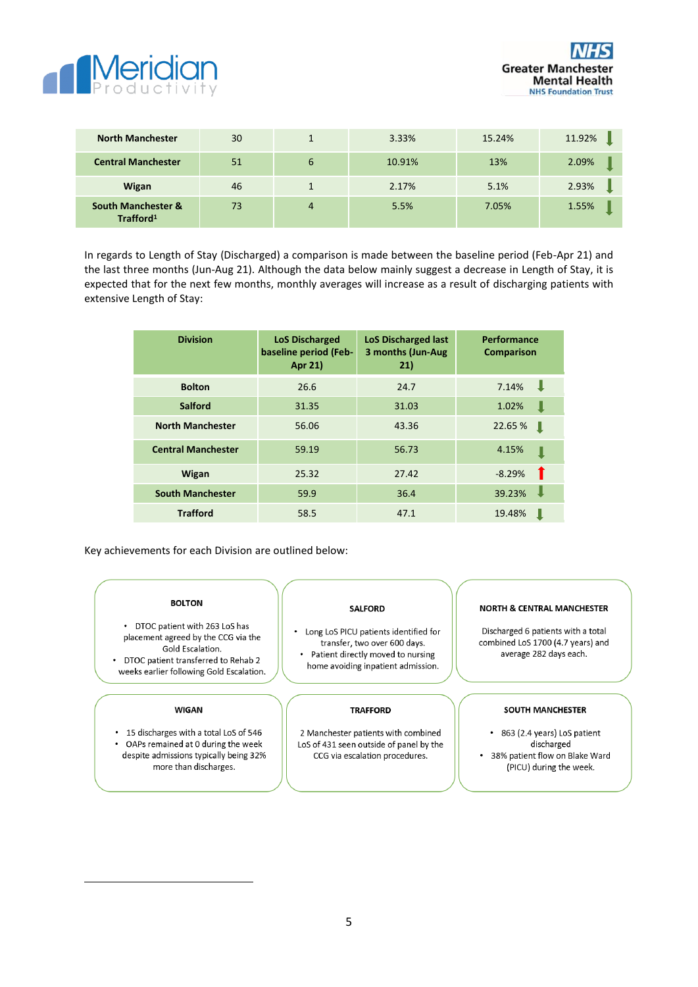



| <b>North Manchester</b>                                | 30 |   | 3.33%  | 15.24% | 11.92% |
|--------------------------------------------------------|----|---|--------|--------|--------|
| <b>Central Manchester</b>                              | 51 | 6 | 10.91% | 13%    | 2.09%  |
| Wigan                                                  | 46 |   | 2.17%  | 5.1%   | 2.93%  |
| <b>South Manchester &amp;</b><br>Trafford <sup>1</sup> | 73 | 4 | 5.5%   | 7.05%  | 1.55%  |

In regards to Length of Stay (Discharged) a comparison is made between the baseline period (Feb-Apr 21) and the last three months (Jun-Aug 21). Although the data below mainly suggest a decrease in Length of Stay, it is expected that for the next few months, monthly averages will increase as a result of discharging patients with extensive Length of Stay:

| <b>Division</b>           | <b>LoS Discharged</b><br>baseline period (Feb-<br>Apr 21) | <b>LoS Discharged last</b><br>3 months (Jun-Aug<br>21) | Performance<br>Comparison |
|---------------------------|-----------------------------------------------------------|--------------------------------------------------------|---------------------------|
| <b>Bolton</b>             | 26.6                                                      | 24.7                                                   | <b>II</b><br>7.14%        |
| <b>Salford</b>            | 31.35                                                     | 31.03                                                  | 1.02%                     |
| <b>North Manchester</b>   | 56.06                                                     | 43.36                                                  | 22.65 %<br>ш              |
| <b>Central Manchester</b> | 59.19                                                     | 56.73                                                  | 4.15%                     |
| Wigan                     | 25.32                                                     | 27.42                                                  | $-8.29%$                  |
| <b>South Manchester</b>   | 59.9                                                      | 36.4                                                   | 39.23%                    |
| <b>Trafford</b>           | 58.5                                                      | 47.1                                                   | 19.48%                    |

Key achievements for each Division are outlined below:

### **BOLTON**

• DTOC patient with 263 LoS has placement agreed by the CCG via the Gold Escalation. • DTOC patient transferred to Rehab 2 weeks earlier following Gold Escalation.

#### **WIGAN**

• 15 discharges with a total LoS of 546 OAPs remained at 0 during the week despite admissions typically being 32% more than discharges.

### **SALFORD**

Long LoS PICU patients identified for transfer, two over 600 days.  $\ddot{\phantom{a}}$ Patient directly moved to nursing home avoiding inpatient admission.

#### **TRAFFORD**

2 Manchester patients with combined LoS of 431 seen outside of panel by the CCG via escalation procedures.

## **NORTH & CENTRAL MANCHESTER**

Discharged 6 patients with a total combined LoS 1700 (4.7 years) and average 282 days each.

#### SOUTH MANCHESTER

• 863 (2.4 years) LoS patient discharged • 38% patient flow on Blake Ward (PICU) during the week.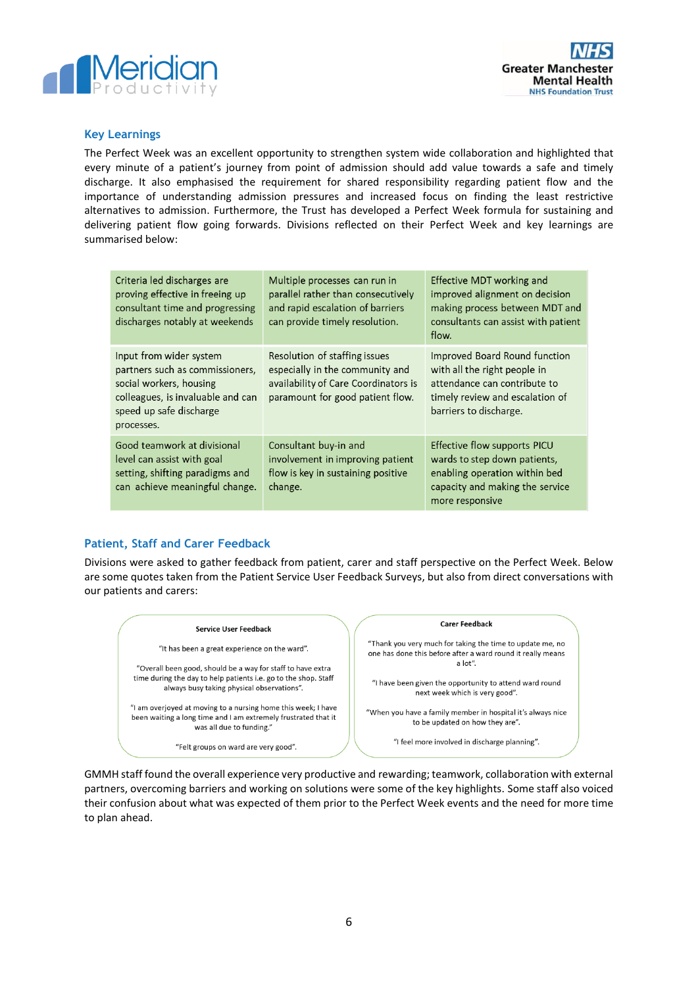



## **Key Learnings**

The Perfect Week was an excellent opportunity to strengthen system wide collaboration and highlighted that every minute of a patient's journey from point of admission should add value towards a safe and timely discharge. It also emphasised the requirement for shared responsibility regarding patient flow and the importance of understanding admission pressures and increased focus on finding the least restrictive alternatives to admission. Furthermore, the Trust has developed a Perfect Week formula for sustaining and delivering patient flow going forwards. Divisions reflected on their Perfect Week and key learnings are summarised below:

| Criteria led discharges are<br>proving effective in freeing up<br>consultant time and progressing<br>discharges notably at weekends                                 | Multiple processes can run in<br>parallel rather than consecutively<br>and rapid escalation of barriers<br>can provide timely resolution.    | Effective MDT working and<br>improved alignment on decision<br>making process between MDT and<br>consultants can assist with patient<br>flow.              |
|---------------------------------------------------------------------------------------------------------------------------------------------------------------------|----------------------------------------------------------------------------------------------------------------------------------------------|------------------------------------------------------------------------------------------------------------------------------------------------------------|
| Input from wider system<br>partners such as commissioners,<br>social workers, housing<br>colleagues, is invaluable and can<br>speed up safe discharge<br>processes. | Resolution of staffing issues<br>especially in the community and<br>availability of Care Coordinators is<br>paramount for good patient flow. | Improved Board Round function<br>with all the right people in<br>attendance can contribute to<br>timely review and escalation of<br>barriers to discharge. |
| Good teamwork at divisional<br>level can assist with goal<br>setting, shifting paradigms and<br>can achieve meaningful change.                                      | Consultant buy-in and<br>involvement in improving patient<br>flow is key in sustaining positive<br>change.                                   | Effective flow supports PICU<br>wards to step down patients,<br>enabling operation within bed<br>capacity and making the service<br>more responsive        |

# **Patient, Staff and Carer Feedback**

Divisions were asked to gather feedback from patient, carer and staff perspective on the Perfect Week. Below are some quotes taken from the Patient Service User Feedback Surveys, but also from direct conversations with our patients and carers:



GMMH staff found the overall experience very productive and rewarding; teamwork, collaboration with external partners, overcoming barriers and working on solutions were some of the key highlights. Some staff also voiced their confusion about what was expected of them prior to the Perfect Week events and the need for more time to plan ahead.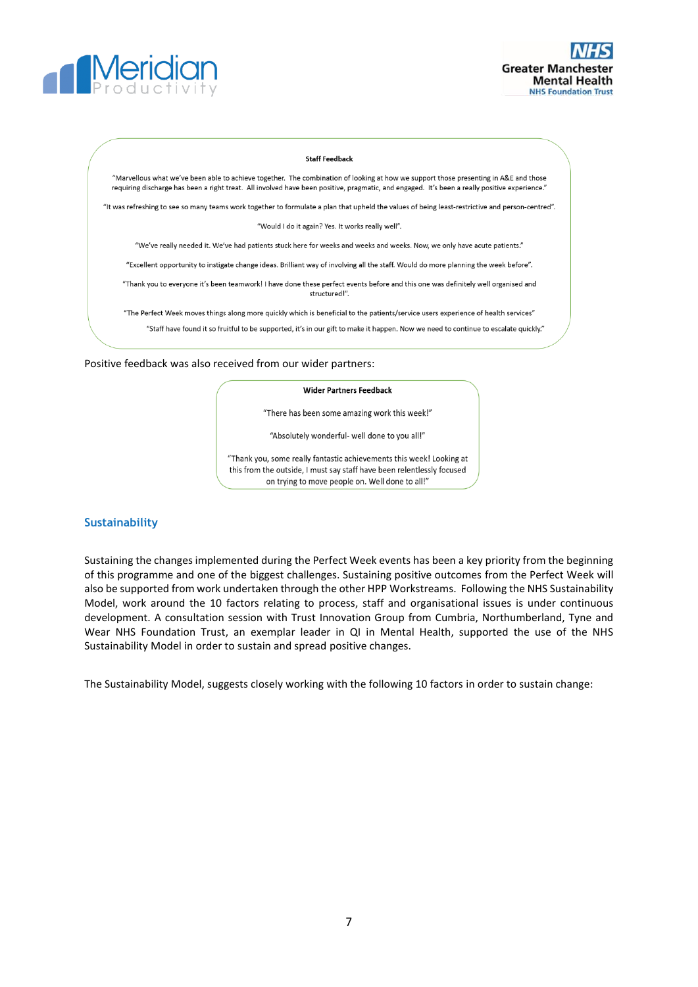



#### **Staff Feedback**

"Marvellous what we've been able to achieve together. The combination of looking at how we support those presenting in A&E and those requiring discharge has been a right treat. All involved have been positive, pragmatic, and engaged. It's been a really positive experience."

"It was refreshing to see so many teams work together to formulate a plan that upheld the values of being least-restrictive and person-centred".

"Would I do it again? Yes. It works really well".

"We've really needed it. We've had patients stuck here for weeks and weeks and weeks. Now, we only have acute patients."

"Excellent opportunity to instigate change ideas. Brilliant way of involving all the staff. Would do more planning the week before".

"Thank you to everyone it's been teamwork! I have done these perfect events before and this one was definitely well organised and structured!"

"The Perfect Week moves things along more quickly which is beneficial to the patients/service users experience of health services" "Staff have found it so fruitful to be supported, it's in our gift to make it happen. Now we need to continue to escalate quickly."

Positive feedback was also received from our wider partners:

#### **Wider Partners Feedback**

"There has been some amazing work this week!"

"Absolutely wonderful- well done to you all!"

"Thank you, some really fantastic achievements this week! Looking at this from the outside, I must say staff have been relentlessly focused on trying to move people on. Well done to all!"

## **Sustainability**

Sustaining the changes implemented during the Perfect Week events has been a key priority from the beginning of this programme and one of the biggest challenges. Sustaining positive outcomes from the Perfect Week will also be supported from work undertaken through the other HPP Workstreams. Following the NHS Sustainability Model, work around the 10 factors relating to process, staff and organisational issues is under continuous development. A consultation session with Trust Innovation Group from Cumbria, Northumberland, Tyne and Wear NHS Foundation Trust, an exemplar leader in QI in Mental Health, supported the use of the NHS Sustainability Model in order to sustain and spread positive changes.

The Sustainability Model, suggests closely working with the following 10 factors in order to sustain change: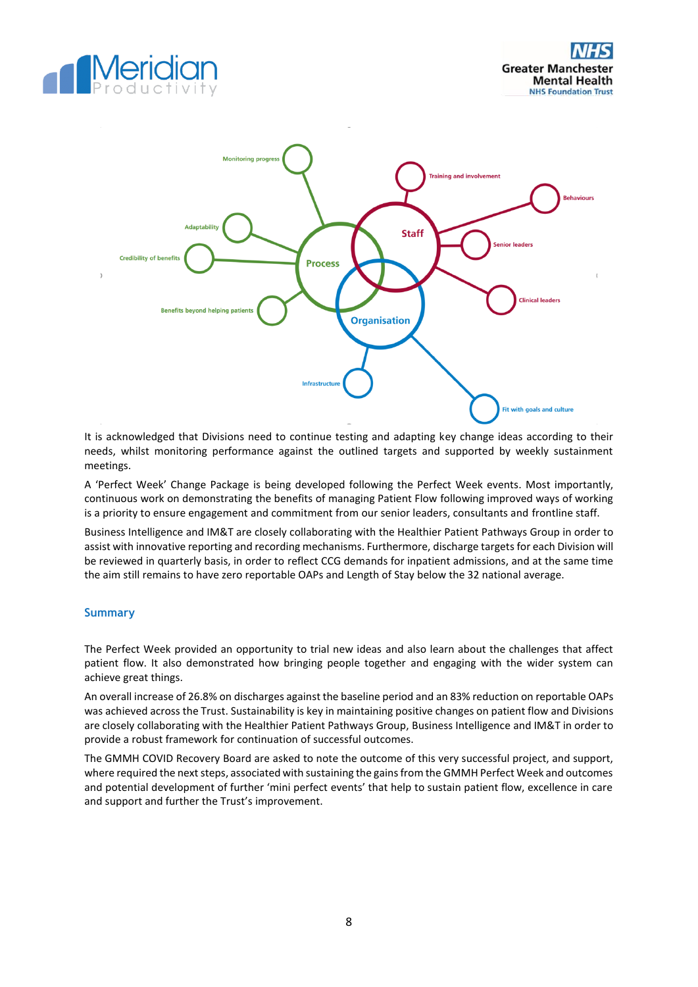





It is acknowledged that Divisions need to continue testing and adapting key change ideas according to their needs, whilst monitoring performance against the outlined targets and supported by weekly sustainment meetings.

A 'Perfect Week' Change Package is being developed following the Perfect Week events. Most importantly, continuous work on demonstrating the benefits of managing Patient Flow following improved ways of working is a priority to ensure engagement and commitment from our senior leaders, consultants and frontline staff.

Business Intelligence and IM&T are closely collaborating with the Healthier Patient Pathways Group in order to assist with innovative reporting and recording mechanisms. Furthermore, discharge targets for each Division will be reviewed in quarterly basis, in order to reflect CCG demands for inpatient admissions, and at the same time the aim still remains to have zero reportable OAPs and Length of Stay below the 32 national average.

## **Summary**

The Perfect Week provided an opportunity to trial new ideas and also learn about the challenges that affect patient flow. It also demonstrated how bringing people together and engaging with the wider system can achieve great things.

An overall increase of 26.8% on discharges against the baseline period and an 83% reduction on reportable OAPs was achieved across the Trust. Sustainability is key in maintaining positive changes on patient flow and Divisions are closely collaborating with the Healthier Patient Pathways Group, Business Intelligence and IM&T in order to provide a robust framework for continuation of successful outcomes.

The GMMH COVID Recovery Board are asked to note the outcome of this very successful project, and support, where required the next steps, associated with sustaining the gains from the GMMH Perfect Week and outcomes and potential development of further 'mini perfect events' that help to sustain patient flow, excellence in care and support and further the Trust's improvement.